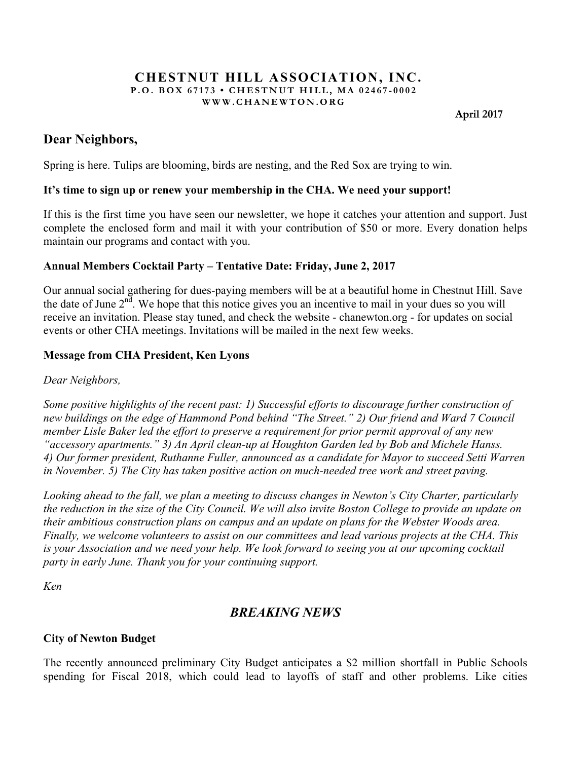#### **CHESTNUT HILL ASSOCIATION, INC. P.O. BOX 67173 • CHESTNUT HILL, MA 02467 - 0002 WWW.CHANEWTON.ORG**

 **April 2017**

## **Dear Neighbors,**

Spring is here. Tulips are blooming, birds are nesting, and the Red Sox are trying to win.

## **It's time to sign up or renew your membership in the CHA. We need your support!**

If this is the first time you have seen our newsletter, we hope it catches your attention and support. Just complete the enclosed form and mail it with your contribution of \$50 or more. Every donation helps maintain our programs and contact with you.

## **Annual Members Cocktail Party – Tentative Date: Friday, June 2, 2017**

Our annual social gathering for dues-paying members will be at a beautiful home in Chestnut Hill. Save the date of June  $2<sup>nd</sup>$ . We hope that this notice gives you an incentive to mail in your dues so you will receive an invitation. Please stay tuned, and check the website - chanewton.org - for updates on social events or other CHA meetings. Invitations will be mailed in the next few weeks.

## **Message from CHA President, Ken Lyons**

*Dear Neighbors,* 

*Some positive highlights of the recent past: 1) Successful efforts to discourage further construction of new buildings on the edge of Hammond Pond behind "The Street." 2) Our friend and Ward 7 Council member Lisle Baker led the effort to preserve a requirement for prior permit approval of any new "accessory apartments." 3) An April clean-up at Houghton Garden led by Bob and Michele Hanss. 4) Our former president, Ruthanne Fuller, announced as a candidate for Mayor to succeed Setti Warren in November. 5) The City has taken positive action on much-needed tree work and street paving.*

*Looking ahead to the fall, we plan a meeting to discuss changes in Newton's City Charter, particularly the reduction in the size of the City Council. We will also invite Boston College to provide an update on their ambitious construction plans on campus and an update on plans for the Webster Woods area. Finally, we welcome volunteers to assist on our committees and lead various projects at the CHA. This is your Association and we need your help. We look forward to seeing you at our upcoming cocktail party in early June. Thank you for your continuing support.*

*Ken*

# *BREAKING NEWS*

## **City of Newton Budget**

The recently announced preliminary City Budget anticipates a \$2 million shortfall in Public Schools spending for Fiscal 2018, which could lead to layoffs of staff and other problems. Like cities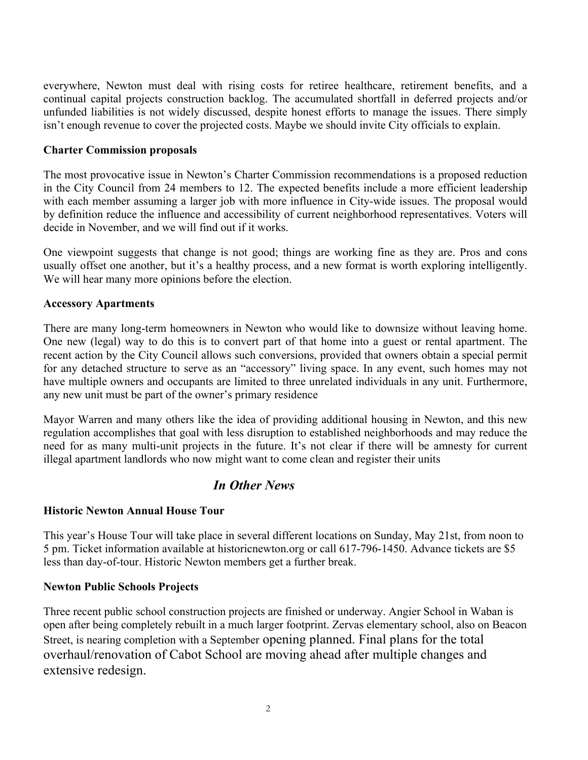everywhere, Newton must deal with rising costs for retiree healthcare, retirement benefits, and a continual capital projects construction backlog. The accumulated shortfall in deferred projects and/or unfunded liabilities is not widely discussed, despite honest efforts to manage the issues. There simply isn't enough revenue to cover the projected costs. Maybe we should invite City officials to explain.

## **Charter Commission proposals**

The most provocative issue in Newton's Charter Commission recommendations is a proposed reduction in the City Council from 24 members to 12. The expected benefits include a more efficient leadership with each member assuming a larger job with more influence in City-wide issues. The proposal would by definition reduce the influence and accessibility of current neighborhood representatives. Voters will decide in November, and we will find out if it works.

One viewpoint suggests that change is not good; things are working fine as they are. Pros and cons usually offset one another, but it's a healthy process, and a new format is worth exploring intelligently. We will hear many more opinions before the election.

### **Accessory Apartments**

There are many long-term homeowners in Newton who would like to downsize without leaving home. One new (legal) way to do this is to convert part of that home into a guest or rental apartment. The recent action by the City Council allows such conversions, provided that owners obtain a special permit for any detached structure to serve as an "accessory" living space. In any event, such homes may not have multiple owners and occupants are limited to three unrelated individuals in any unit. Furthermore, any new unit must be part of the owner's primary residence

Mayor Warren and many others like the idea of providing additional housing in Newton, and this new regulation accomplishes that goal with less disruption to established neighborhoods and may reduce the need for as many multi-unit projects in the future. It's not clear if there will be amnesty for current illegal apartment landlords who now might want to come clean and register their units

## *In Other News*

### **Historic Newton Annual House Tour**

This year's House Tour will take place in several different locations on Sunday, May 21st, from noon to 5 pm. Ticket information available at historicnewton.org or call 617-796-1450. Advance tickets are \$5 less than day-of-tour. Historic Newton members get a further break.

### **Newton Public Schools Projects**

Three recent public school construction projects are finished or underway. Angier School in Waban is open after being completely rebuilt in a much larger footprint. Zervas elementary school, also on Beacon Street, is nearing completion with a September opening planned. Final plans for the total overhaul/renovation of Cabot School are moving ahead after multiple changes and extensive redesign.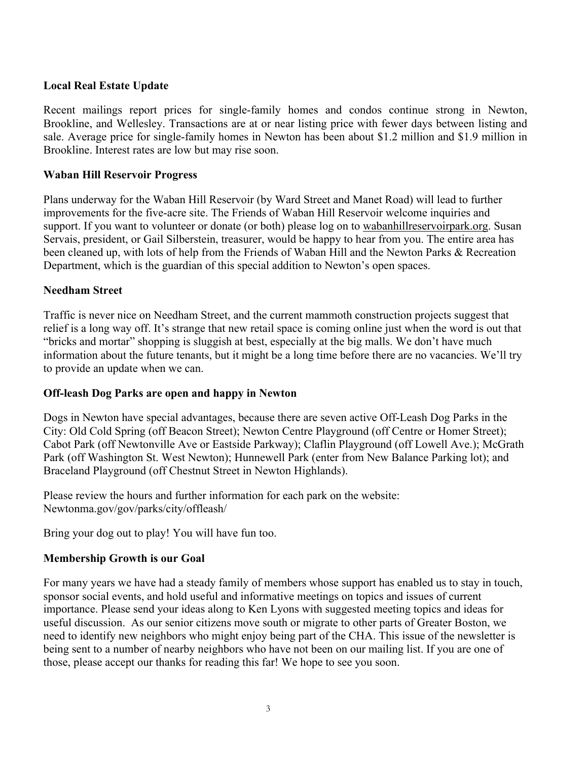## **Local Real Estate Update**

Recent mailings report prices for single-family homes and condos continue strong in Newton, Brookline, and Wellesley. Transactions are at or near listing price with fewer days between listing and sale. Average price for single-family homes in Newton has been about \$1.2 million and \$1.9 million in Brookline. Interest rates are low but may rise soon.

## **Waban Hill Reservoir Progress**

Plans underway for the Waban Hill Reservoir (by Ward Street and Manet Road) will lead to further improvements for the five-acre site. The Friends of Waban Hill Reservoir welcome inquiries and support. If you want to volunteer or donate (or both) please log on to wabanhillreservoirpark.org. Susan Servais, president, or Gail Silberstein, treasurer, would be happy to hear from you. The entire area has been cleaned up, with lots of help from the Friends of Waban Hill and the Newton Parks & Recreation Department, which is the guardian of this special addition to Newton's open spaces.

## **Needham Street**

Traffic is never nice on Needham Street, and the current mammoth construction projects suggest that relief is a long way off. It's strange that new retail space is coming online just when the word is out that "bricks and mortar" shopping is sluggish at best, especially at the big malls. We don't have much information about the future tenants, but it might be a long time before there are no vacancies. We'll try to provide an update when we can.

### **Off-leash Dog Parks are open and happy in Newton**

Dogs in Newton have special advantages, because there are seven active Off-Leash Dog Parks in the City: Old Cold Spring (off Beacon Street); Newton Centre Playground (off Centre or Homer Street); Cabot Park (off Newtonville Ave or Eastside Parkway); Claflin Playground (off Lowell Ave.); McGrath Park (off Washington St. West Newton); Hunnewell Park (enter from New Balance Parking lot); and Braceland Playground (off Chestnut Street in Newton Highlands).

Please review the hours and further information for each park on the website: Newtonma.gov/gov/parks/city/offleash/

Bring your dog out to play! You will have fun too.

## **Membership Growth is our Goal**

For many years we have had a steady family of members whose support has enabled us to stay in touch, sponsor social events, and hold useful and informative meetings on topics and issues of current importance. Please send your ideas along to Ken Lyons with suggested meeting topics and ideas for useful discussion. As our senior citizens move south or migrate to other parts of Greater Boston, we need to identify new neighbors who might enjoy being part of the CHA. This issue of the newsletter is being sent to a number of nearby neighbors who have not been on our mailing list. If you are one of those, please accept our thanks for reading this far! We hope to see you soon.